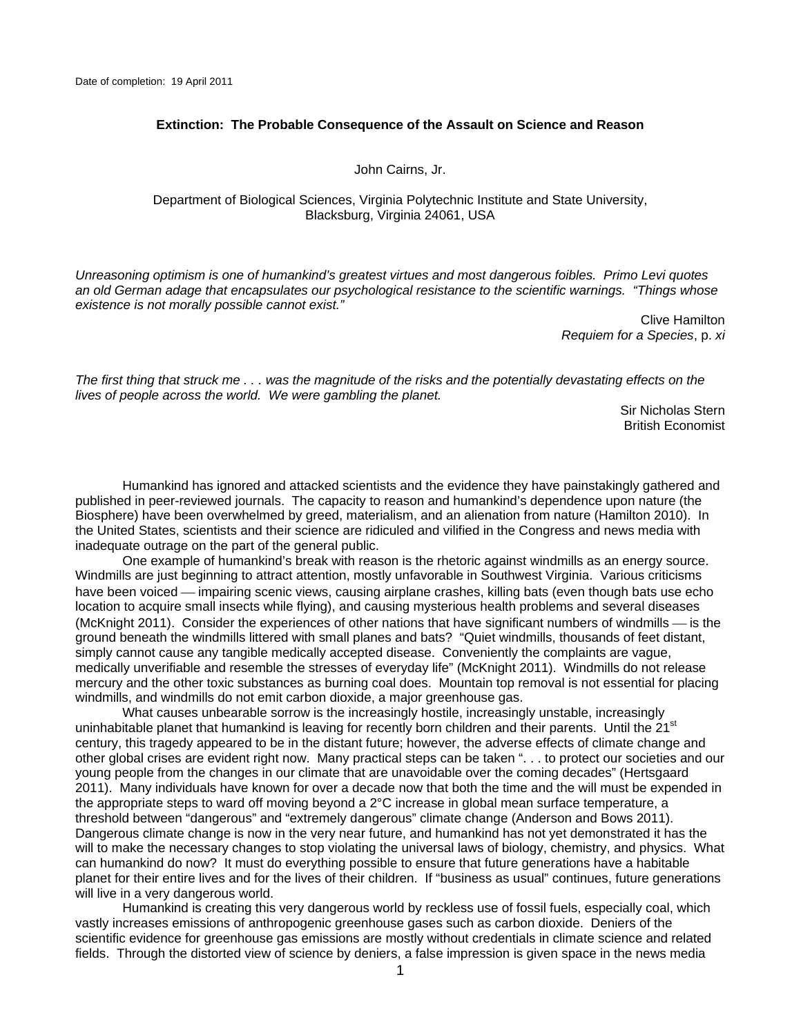## **Extinction: The Probable Consequence of the Assault on Science and Reason**

John Cairns, Jr.

Department of Biological Sciences, Virginia Polytechnic Institute and State University, Blacksburg, Virginia 24061, USA

*Unreasoning optimism is one of humankind's greatest virtues and most dangerous foibles. Primo Levi quotes an old German adage that encapsulates our psychological resistance to the scientific warnings. "Things whose existence is not morally possible cannot exist."* 

> Clive Hamilton *Requiem for a Species*, p. *xi*

*The first thing that struck me . . . was the magnitude of the risks and the potentially devastating effects on the lives of people across the world. We were gambling the planet.* 

> Sir Nicholas Stern British Economist

 Humankind has ignored and attacked scientists and the evidence they have painstakingly gathered and published in peer-reviewed journals. The capacity to reason and humankind's dependence upon nature (the Biosphere) have been overwhelmed by greed, materialism, and an alienation from nature (Hamilton 2010). In the United States, scientists and their science are ridiculed and vilified in the Congress and news media with inadequate outrage on the part of the general public.

 One example of humankind's break with reason is the rhetoric against windmills as an energy source. Windmills are just beginning to attract attention, mostly unfavorable in Southwest Virginia. Various criticisms have been voiced — impairing scenic views, causing airplane crashes, killing bats (even though bats use echo location to acquire small insects while flying), and causing mysterious health problems and several diseases (McKnight 2011). Consider the experiences of other nations that have significant numbers of windmills — is the ground beneath the windmills littered with small planes and bats? "Quiet windmills, thousands of feet distant, simply cannot cause any tangible medically accepted disease. Conveniently the complaints are vague, medically unverifiable and resemble the stresses of everyday life" (McKnight 2011). Windmills do not release mercury and the other toxic substances as burning coal does. Mountain top removal is not essential for placing windmills, and windmills do not emit carbon dioxide, a major greenhouse gas.

 What causes unbearable sorrow is the increasingly hostile, increasingly unstable, increasingly uninhabitable planet that humankind is leaving for recently born children and their parents. Until the 21<sup>st</sup> century, this tragedy appeared to be in the distant future; however, the adverse effects of climate change and other global crises are evident right now. Many practical steps can be taken ". . . to protect our societies and our young people from the changes in our climate that are unavoidable over the coming decades" (Hertsgaard 2011). Many individuals have known for over a decade now that both the time and the will must be expended in the appropriate steps to ward off moving beyond a 2°C increase in global mean surface temperature, a threshold between "dangerous" and "extremely dangerous" climate change (Anderson and Bows 2011). Dangerous climate change is now in the very near future, and humankind has not yet demonstrated it has the will to make the necessary changes to stop violating the universal laws of biology, chemistry, and physics. What can humankind do now? It must do everything possible to ensure that future generations have a habitable planet for their entire lives and for the lives of their children. If "business as usual" continues, future generations will live in a very dangerous world.

 Humankind is creating this very dangerous world by reckless use of fossil fuels, especially coal, which vastly increases emissions of anthropogenic greenhouse gases such as carbon dioxide. Deniers of the scientific evidence for greenhouse gas emissions are mostly without credentials in climate science and related fields. Through the distorted view of science by deniers, a false impression is given space in the news media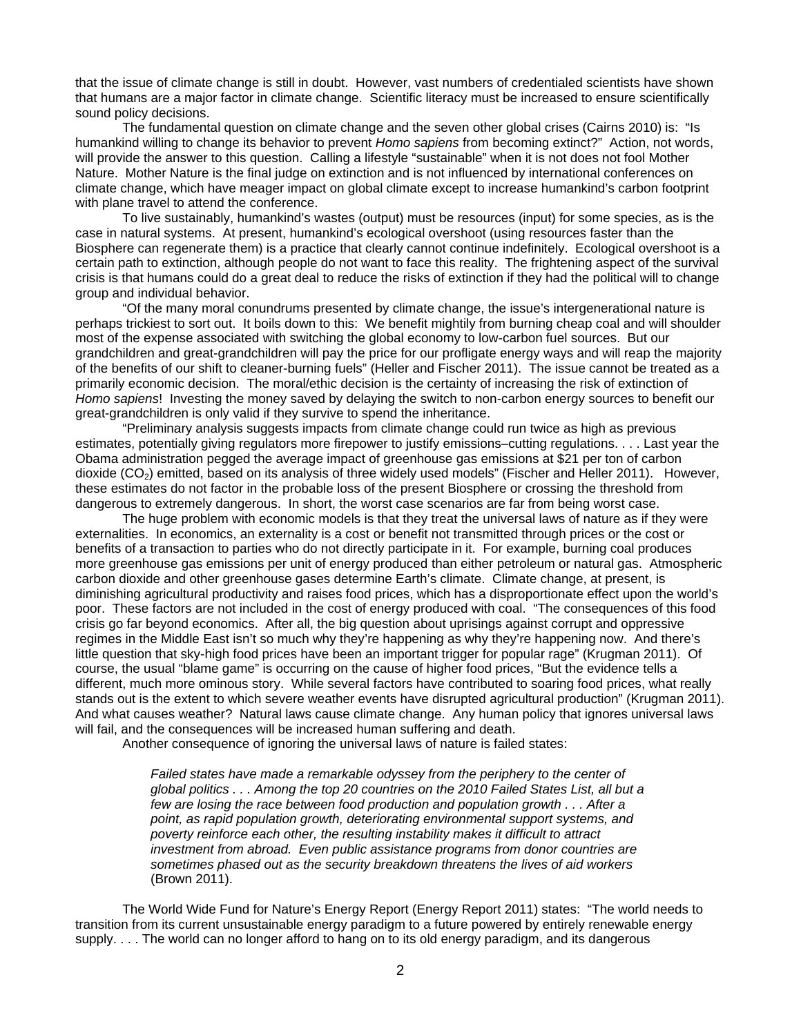that the issue of climate change is still in doubt. However, vast numbers of credentialed scientists have shown that humans are a major factor in climate change. Scientific literacy must be increased to ensure scientifically sound policy decisions.

 The fundamental question on climate change and the seven other global crises (Cairns 2010) is: "Is humankind willing to change its behavior to prevent *Homo sapiens* from becoming extinct?" Action, not words, will provide the answer to this question. Calling a lifestyle "sustainable" when it is not does not fool Mother Nature. Mother Nature is the final judge on extinction and is not influenced by international conferences on climate change, which have meager impact on global climate except to increase humankind's carbon footprint with plane travel to attend the conference.

 To live sustainably, humankind's wastes (output) must be resources (input) for some species, as is the case in natural systems. At present, humankind's ecological overshoot (using resources faster than the Biosphere can regenerate them) is a practice that clearly cannot continue indefinitely. Ecological overshoot is a certain path to extinction, although people do not want to face this reality. The frightening aspect of the survival crisis is that humans could do a great deal to reduce the risks of extinction if they had the political will to change group and individual behavior.

 "Of the many moral conundrums presented by climate change, the issue's intergenerational nature is perhaps trickiest to sort out. It boils down to this: We benefit mightily from burning cheap coal and will shoulder most of the expense associated with switching the global economy to low-carbon fuel sources. But our grandchildren and great-grandchildren will pay the price for our profligate energy ways and will reap the majority of the benefits of our shift to cleaner-burning fuels" (Heller and Fischer 2011). The issue cannot be treated as a primarily economic decision. The moral/ethic decision is the certainty of increasing the risk of extinction of *Homo sapiens*! Investing the money saved by delaying the switch to non-carbon energy sources to benefit our great-grandchildren is only valid if they survive to spend the inheritance.

 "Preliminary analysis suggests impacts from climate change could run twice as high as previous estimates, potentially giving regulators more firepower to justify emissions–cutting regulations. . . . Last year the Obama administration pegged the average impact of greenhouse gas emissions at \$21 per ton of carbon dioxide (CO<sub>2</sub>) emitted, based on its analysis of three widely used models" (Fischer and Heller 2011). However, these estimates do not factor in the probable loss of the present Biosphere or crossing the threshold from dangerous to extremely dangerous. In short, the worst case scenarios are far from being worst case.

 The huge problem with economic models is that they treat the universal laws of nature as if they were externalities. In economics, an externality is a cost or benefit not transmitted through prices or the cost or benefits of a transaction to parties who do not directly participate in it. For example, burning coal produces more greenhouse gas emissions per unit of energy produced than either petroleum or natural gas. Atmospheric carbon dioxide and other greenhouse gases determine Earth's climate. Climate change, at present, is diminishing agricultural productivity and raises food prices, which has a disproportionate effect upon the world's poor. These factors are not included in the cost of energy produced with coal. "The consequences of this food crisis go far beyond economics. After all, the big question about uprisings against corrupt and oppressive regimes in the Middle East isn't so much why they're happening as why they're happening now. And there's little question that sky-high food prices have been an important trigger for popular rage" (Krugman 2011). Of course, the usual "blame game" is occurring on the cause of higher food prices, "But the evidence tells a different, much more ominous story. While several factors have contributed to soaring food prices, what really stands out is the extent to which severe weather events have disrupted agricultural production" (Krugman 2011). And what causes weather? Natural laws cause climate change. Any human policy that ignores universal laws will fail, and the consequences will be increased human suffering and death.

Another consequence of ignoring the universal laws of nature is failed states:

Failed states have made a remarkable odyssey from the periphery to the center of *global politics . . . Among the top 20 countries on the 2010 Failed States List, all but a few are losing the race between food production and population growth . . . After a point, as rapid population growth, deteriorating environmental support systems, and poverty reinforce each other, the resulting instability makes it difficult to attract investment from abroad. Even public assistance programs from donor countries are sometimes phased out as the security breakdown threatens the lives of aid workers*  (Brown 2011).

 The World Wide Fund for Nature's Energy Report (Energy Report 2011) states: "The world needs to transition from its current unsustainable energy paradigm to a future powered by entirely renewable energy supply. . . . The world can no longer afford to hang on to its old energy paradigm, and its dangerous